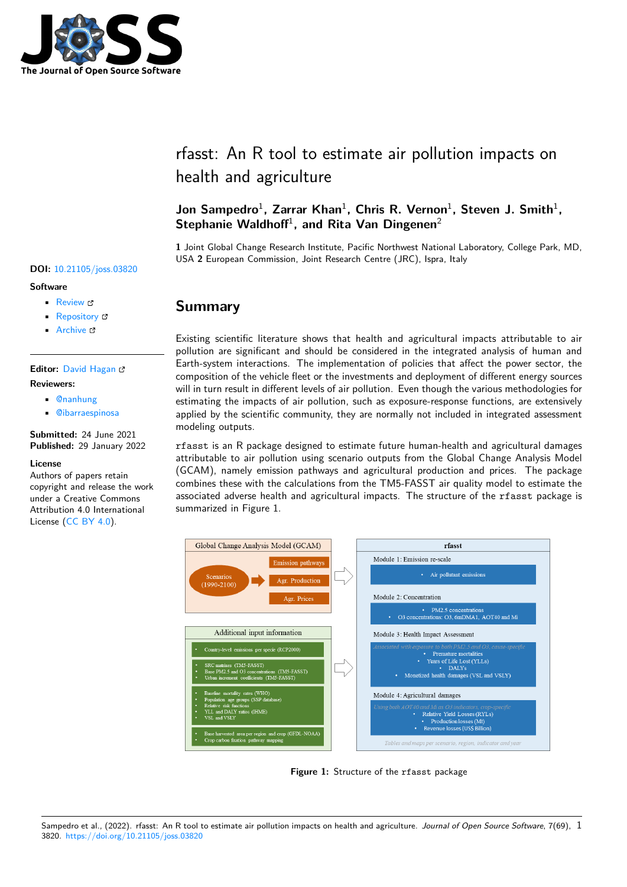

# rfasst: An R tool to estimate air pollution impacts on health and agriculture

### Jon Sampedro<sup>1</sup>, Zarrar Khan<sup>1</sup>, Chris R. Vernon<sup>1</sup>, Steven J. Smith<sup>1</sup>, Stephanie Waldhoff<sup>1</sup>, and Rita Van Dingenen<sup>2</sup>

**1** Joint Global Change Research Institute, Pacific Northwest National Laboratory, College Park, MD, USA **2** European Commission, Joint Research Centre (JRC), Ispra, Italy

### **Summary**

Existing scientific literature shows that health and agricultural impacts attributable to air pollution are significant and should be considered in the integrated analysis of human and Earth-system interactions. The implementation of policies that affect the power sector, the composition of the vehicle fleet or the investments and deployment of different energy sources will in turn result in different levels of air pollution. Even though the various methodologies for estimating the impacts of air pollution, such as exposure-response functions, are extensively applied by the scientific community, they are normally not included in integrated assessment modeling outputs.

rfasst is an R package designed to estimate future human-health and agricultural damages attributable to air pollution using scenario outputs from the Global Change Analysis Model (GCAM), namely emission pathways and agricultural production and prices. The package combines these with the calculations from the TM5-FASST air quality model to estimate the associated adverse health and agricultural impacts. The structure of the rfasst package is summarized in Figure 1.



**Figure 1:** Structure of the rfasst package

#### Sampedro et al., (2022). rfasst: An R tool to estimate air pollution impacts on health and agriculture. *Journal of Open Source Software*, 7(69), 13820. https://doi.org/10.21105/joss.03820

#### **DOI:** 10.21105/joss.03820

#### **Software**

- Review C
- [Repository](https://doi.org/10.21105/joss.03820) &
- Archive

#### **Editor:** [David Ha](https://github.com/JGCRI/rfasst)gan **Revie[wers:](https://doi.org/10.5281/zenodo.5838361)**

- - @nanhung
	- @[ibarraespinosa](https://www.quant-aq.com/meet-the-team)

**Submitted:** 24 June 2021 **Publi[shed:](https://github.com/nanhung)** 29 January 2022

#### **License**

Autho[rs of papers reta](https://github.com/ibarraespinosa)in copyright and release the work under a Creative Commons Attribution 4.0 International License (CC BY 4.0).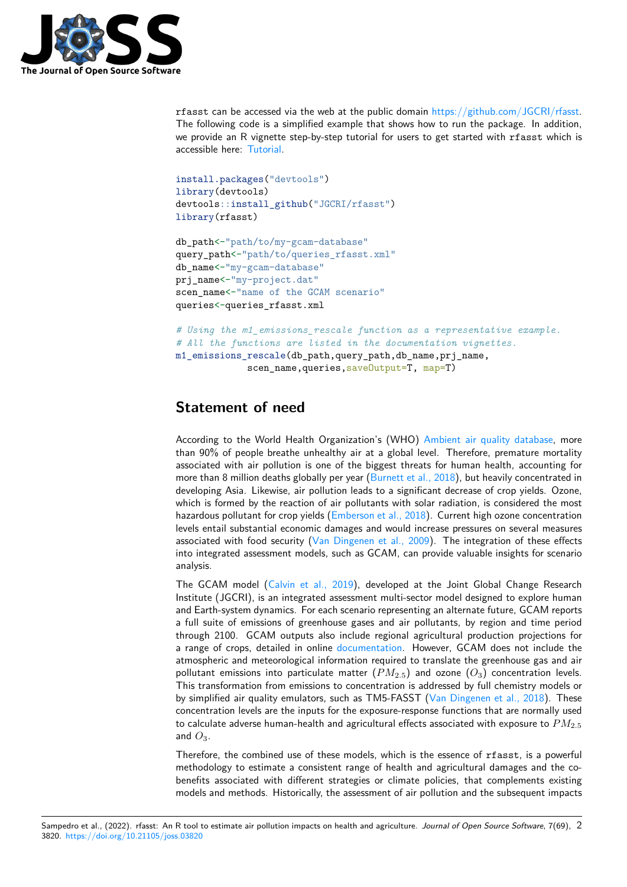

rfasst can be accessed via the web at the public domain https://github.com/JGCRI/rfasst. The following code is a simplified example that shows how to run the package. In addition, we provide an R vignette step-by-step tutorial for users to get started with rfasst which is accessible here: Tutorial.

```
install.packages("devtools")
library(devtools)
devtools::install_github("JGCRI/rfasst")
library(rfasst)
```

```
db_path<-"path/to/my-gcam-database"
query_path<-"path/to/queries_rfasst.xml"
db_name<-"my-gcam-database"
prj_name<-"my-project.dat"
scen_name<-"name of the GCAM scenario"
queries<-queries_rfasst.xml
```

```
# Using the m1_emissions_rescale function as a representative example.
# All the functions are listed in the documentation vignettes.
m1 emissions rescale(db path,query path,db name,prj name,
             scen_name, queries, saveOutput=T, map=T)
```
# **Statement of need**

According to the World Health Organization's (WHO) Ambient air quality database, more than 90% of people breathe unhealthy air at a global level. Therefore, premature mortality associated with air pollution is one of the biggest threats for human health, accounting for more than 8 million deaths globally per year (Burnett et al., 2018), but heavily concentrated in developing Asia. Likewise, air pollution leads to a signifi[cant decrease of crop yields. O](https://www.who.int/data/gho/data/themes/topics/topic-details/GHO/ambient-air-pollution)zone, which is formed by the reaction of air pollutants with solar radiation, is considered the most hazardous pollutant for crop yields (Emberson et al., 2018). Current high ozone concentration levels entail substantial economic damages [and would increase p](#page-4-0)ressures on several measures associated with food security (Van Dingenen et al., 2009). The integration of these effects into integrated assessment models, such as GCAM, can provide valuable insights for scenario analysis.

The GCAM model (Calvin et al., 2019), developed at the Joint Global Change Research Institute (JGCRI), is an integra[ted assessment multi-sector](#page-5-0) model designed to explore human and Earth-system dynamics. For each scenario representing an alternate future, GCAM reports a full suite of emissions of greenhouse gases and air pollutants, by region and time period through 2100. GCA[M outputs also incl](#page-4-1)ude regional agricultural production projections for a range of crops, detailed in online documentation. However, GCAM does not include the atmospheric and meteorological information required to translate the greenhouse gas and air pollutant emissions into particulate matter  $(PM_{2.5})$  and ozone  $(O_3)$  concentration levels. This transformation from emissions to concentration is addressed by full chemistry models or by simplified air quality emulators, s[uch as TM5-FA](https://github.com/JGCRI/gcam-doc/blob/gh-pages/aglu.md)SST (Van Dingenen et al., 2018). These concentration levels are the inputs for the exposure-response functions that are normally used to calculate adverse human-health and agricultural effects associated with exposure to *PM*2*.*<sup>5</sup> and  $O_3$ .

Therefore, the combined use of these models, which is th[e essence of](#page-5-1) rfasst, is a powerful methodology to estimate a consistent range of health and agricultural damages and the cobenefits associated with different strategies or climate policies, that complements existing models and methods. Historically, the assessment of air pollution and the subsequent impacts

Sampedro et al., (2022). rfasst: An R tool to estimate air pollution impacts on health and agriculture. *Journal of Open Source Software*, 7(69), 23820. https://doi.org/10.21105/joss.03820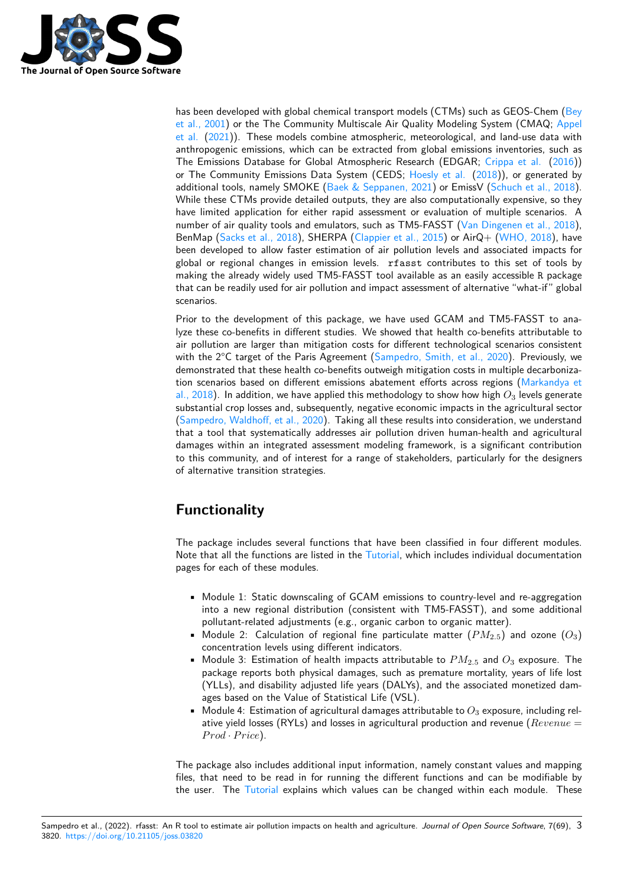

has been developed with global chemical transport models (CTMs) such as GEOS-Chem (Bey et al., 2001) or the The Community Multiscale Air Quality Modeling System (CMAQ; Appel et al. (2021)). These models combine atmospheric, meteorological, and land-use data with anthropogenic emissions, which can be extracted from global emissions inventories, such as The Emissions Database for Global Atmospheric Research (EDGAR; Crippa et al. (20[16\)\)](#page-3-0) [or The Com](#page-3-0)munity Emissions Data System (CEDS; Hoesly et al. (2018)), or genera[ted by](#page-3-1) [additi](#page-3-1)o[nal to](#page-3-1)ols, namely SMOKE (Baek  $\&$  Seppanen, 2021) or EmissV (Schuch et al., 2018). While these CTMs provide detailed outputs, they are also computationally expensive, so they have limited application for either rapid assessment or evaluation of [multiple scen](#page-4-2)ar[ios.](#page-4-2) A number of air quality tools and emulators, such as T[M5-FASST \(V](#page-4-3)a[n Din](#page-4-3)genen et al., 2018), BenMap (Sacks et al., 2018), SH[ERPA \(Clappier et al., 20](#page-3-2)15) or AirQ[+ \(WHO, 2018\), hav](#page-5-2)e been developed to allow faster estimation of air pollution levels and associated impacts for global or regional changes in emission levels. rfasst contributes to this set of tools by making the already widely used TM5-FASST tool available as a[n easily accessible](#page-5-1) R package that can b[e readily used for a](#page-4-4)ir pollution [and impact assessmen](#page-4-5)t of alternat[ive "what-if"](#page-5-3) global scenarios.

Prior to the development of this package, we have used GCAM and TM5-FASST to analyze these co-benefits in different studies. We showed that health co-benefits attributable to air pollution are larger than mitigation costs for different technological scenarios consistent with the 2°C target of the Paris Agreement (Sampedro, Smith, et al., 2020). Previously, we demonstrated that these health co-benefits outweigh mitigation costs in multiple decarbonization scenarios based on different emissions abatement efforts across regions (Markandya et al., 2018). In addition, we have applied this methodology to show how high *O*<sup>3</sup> levels generate substantial crop losses and, subsequently, neg[ative economic impacts in the a](#page-4-6)gricultural sector (Sampedro, Waldhoff, et al., 2020). Taking all these results into consideration, we understand that a tool that systematically addresses air pollution driven human-health a[nd agricultural](#page-4-7) [damages](#page-4-7) within an integrated assessment modeling framework, is a significant contribution to this community, and of interest for a range of stakeholders, particularly for the designers [of alternative transition strategies.](#page-4-8)

# **Functionality**

The package includes several functions that have been classified in four different modules. Note that all the functions are listed in the Tutorial, which includes individual documentation pages for each of these modules.

- Module 1: Static downscaling of GCAM emissions to country-level and re-aggregation into a new regional distribution (co[nsistent](https://jgcri.github.io/rfasst/) with TM5-FASST), and some additional pollutant-related adjustments (e.g., organic carbon to organic matter).
- Module 2: Calculation of regional fine particulate matter (*PM*2*.*5) and ozone (*O*3) concentration levels using different indicators.
- Module 3: Estimation of health impacts attributable to *PM*2*.*<sup>5</sup> and *O*<sup>3</sup> exposure. The package reports both physical damages, such as premature mortality, years of life lost (YLLs), and disability adjusted life years (DALYs), and the associated monetized damages based on the Value of Statistical Life (VSL).
- $\bullet$  Module 4: Estimation of agricultural damages attributable to  $O_3$  exposure, including relative yield losses (RYLs) and losses in agricultural production and revenue (*Revenue* =  $Prod \cdot Price$ ).

The package also includes additional input information, namely constant values and mapping files, that need to be read in for running the different functions and can be modifiable by the user. The Tutorial explains which values can be changed within each module. These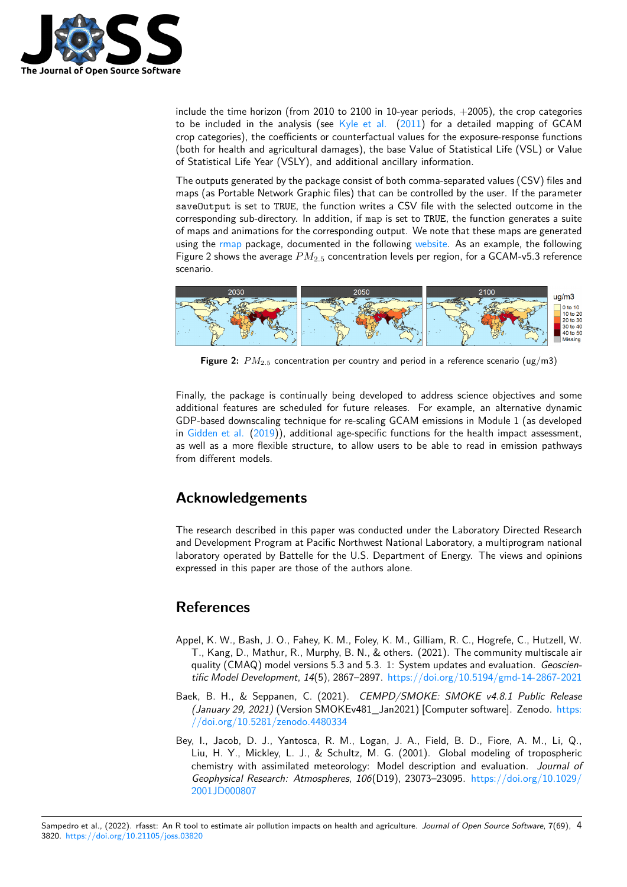

include the time horizon (from 2010 to 2100 in 10-year periods,  $+2005$ ), the crop categories to be included in the analysis (see  $K$ yle et al. (2011) for a detailed mapping of GCAM crop categories), the coefficients or counterfactual values for the exposure-response functions (both for health and agricultural damages), the base Value of Statistical Life (VSL) or Value of Statistical Life Year (VSLY), and additional ancillary information.

The outputs generated by the packag[e consist of b](#page-4-9)o[th com](#page-4-9)ma-separated values (CSV) files and maps (as Portable Network Graphic files) that can be controlled by the user. If the parameter saveOutput is set to TRUE, the function writes a CSV file with the selected outcome in the corresponding sub-directory. In addition, if map is set to TRUE, the function generates a suite of maps and animations for the corresponding output. We note that these maps are generated using the rmap package, documented in the following website. As an example, the following Figure 2 shows the average *PM*2*.*<sup>5</sup> concentration levels per region, for a GCAM-v5.3 reference scenario.



**Figure 2:** *PM*2*.*<sup>5</sup> concentration per country and period in a reference scenario (ug/m3)

Finally, the package is continually being developed to address science objectives and some additional features are scheduled for future releases. For example, an alternative dynamic GDP-based downscaling technique for re-scaling GCAM emissions in Module 1 (as developed in Gidden et al. (2019)), additional age-specific functions for the health impact assessment, as well as a more flexible structure, to allow users to be able to read in emission pathways from different models.

# **A[cknowledgem](#page-4-10)ents**

The research described in this paper was conducted under the Laboratory Directed Research and Development Program at Pacific Northwest National Laboratory, a multiprogram national laboratory operated by Battelle for the U.S. Department of Energy. The views and opinions expressed in this paper are those of the authors alone.

# **References**

- Appel, K. W., Bash, J. O., Fahey, K. M., Foley, K. M., Gilliam, R. C., Hogrefe, C., Hutzell, W. T., Kang, D., Mathur, R., Murphy, B. N., & others. (2021). The community multiscale air quality (CMAQ) model versions 5.3 and 5.3. 1: System updates and evaluation. *Geoscientific Model Development*, *14*(5), 2867–2897. https://doi.org/10.5194/gmd-14-2867-2021
- <span id="page-3-1"></span>Baek, B. H., & Seppanen, C. (2021). *CEMPD/SMOKE: SMOKE v4.8.1 Public Release (January 29, 2021)* (Version SMOKEv481\_Jan2021) [Computer software]. Zenodo. https: //doi.org/10.5281/zenodo.4480334
- <span id="page-3-2"></span><span id="page-3-0"></span>Bey, I., Jacob, D. J., Yantosca, R. M., Logan[, J. A., Field, B. D., Fiore, A. M., Li, Q.,](https://doi.org/10.5194/gmd-14-2867-2021) Liu, H. Y., Mickley, L. J., & Schultz, M. G. (2001). Global modeling of tropospheric chemistry with assimilated meteorology: Model description and evaluation. *Jour[nal of](https://doi.org/10.5281/zenodo.4480334) [Geophysical Research: Atmospheres](https://doi.org/10.5281/zenodo.4480334)*, *106*(D19), 23073–23095. https://doi.org/10.1029/ 2001JD000807

Sampedro et al., (2022). rfasst: An R tool to estimate air pollution impacts on health and agriculture. *Journal of O[pen Source Software](https://doi.org/10.1029/2001JD000807)*, 7(69), 43820. https://doi.org/10.21105/joss.03[820](https://doi.org/10.1029/2001JD000807)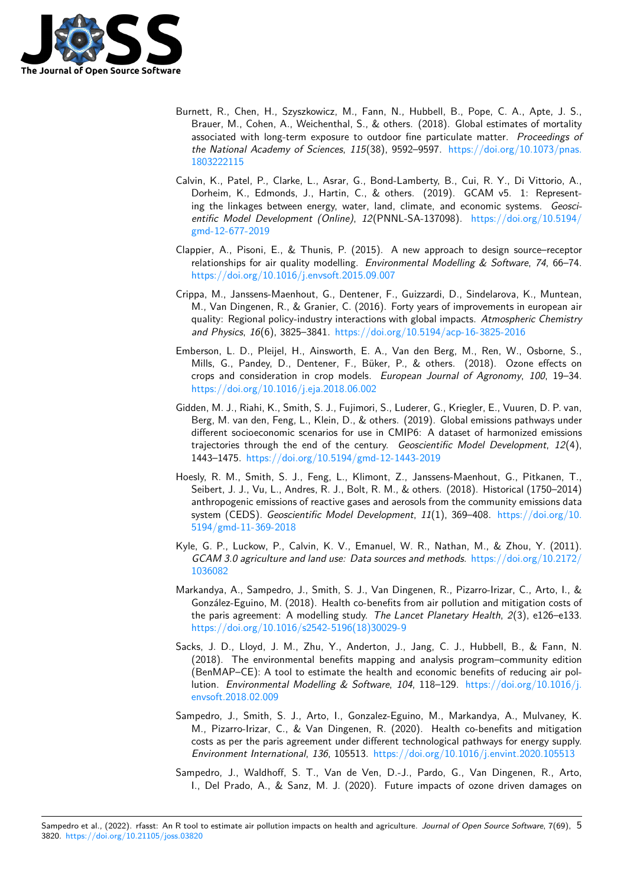

- Burnett, R., Chen, H., Szyszkowicz, M., Fann, N., Hubbell, B., Pope, C. A., Apte, J. S., Brauer, M., Cohen, A., Weichenthal, S., & others. (2018). Global estimates of mortality associated with long-term exposure to outdoor fine particulate matter. *Proceedings of the National Academy of Sciences*, *115*(38), 9592–9597. https://doi.org/10.1073/pnas. 1803222115
- <span id="page-4-0"></span>Calvin, K., Patel, P., Clarke, L., Asrar, G., Bond-Lamberty, B., Cui, R. Y., Di Vittorio, A., Dorheim, K., Edmonds, J., Hartin, C., & others. (2019). GCAM v5. 1: Representing the linkages between energy, water, land, climate, a[nd economic systems.](https://doi.org/10.1073/pnas.1803222115) *Geosci[entific Mode](https://doi.org/10.1073/pnas.1803222115)l Development (Online)*, *12*(PNNL-SA-137098). https://doi.org/10.5194/ gmd-12-677-2019
- <span id="page-4-1"></span>Clappier, A., Pisoni, E., & Thunis, P. (2015). A new approach to design source–receptor relationships for air quality modelling. *Environmental Modellin[g & Software](https://doi.org/10.5194/gmd-12-677-2019)*, *74*, 66–74. [https://doi.org/10](https://doi.org/10.5194/gmd-12-677-2019).1016/j.envsoft.2015.09.007
- <span id="page-4-5"></span>Crippa, M., Janssens-Maenhout, G., Dentener, F., Guizzardi, D., Sindelarova, K., Muntean, M., Van Dingenen, R., & Granier, C. (2016). Forty years of improvements in european air [quality: Regional policy-industry interactions w](https://doi.org/10.1016/j.envsoft.2015.09.007)ith global impacts. *Atmospheric Chemistry and Physics*, *16*(6), 3825–3841. https://doi.org/10.5194/acp-16-3825-2016
- <span id="page-4-2"></span>Emberson, L. D., Pleijel, H., Ainsworth, E. A., Van den Berg, M., Ren, W., Osborne, S., Mills, G., Pandey, D., Dentener, F., Büker, P., & others. (2018). Ozone effects on crops and consideration in crop models. *[European Journal of Agronomy](https://doi.org/10.5194/acp-16-3825-2016)*, *100*, 19–34. https://doi.org/10.1016/j.eja.2018.06.002
- Gidden, M. J., Riahi, K., Smith, S. J., Fujimori, S., Luderer, G., Kriegler, E., Vuuren, D. P. van, Berg, M. van den, Feng, L., Klein, D., & others. (2019). Global emissions pathways under different socioeconomic scenarios for use in CMIP6: A dataset of harmonized emissions [trajectories through the end of the centu](https://doi.org/10.1016/j.eja.2018.06.002)ry. *Geoscientific Model Development*, *12*(4), 1443–1475. https://doi.org/10.5194/gmd-12-1443-2019
- <span id="page-4-10"></span>Hoesly, R. M., Smith, S. J., Feng, L., Klimont, Z., Janssens-Maenhout, G., Pitkanen, T., Seibert, J. J., Vu, L., Andres, R. J., Bolt, R. M., & others. (2018). Historical (1750–2014) anthropogenic emissions of reactive gases and aerosols from the community emissions data system (CEDS). *[Geoscientific Model Development](https://doi.org/10.5194/gmd-12-1443-2019)*, *11*(1), 369–408. https://doi.org/10. 5194/gmd-11-369-2018
- <span id="page-4-3"></span>Kyle, G. P., Luckow, P., Calvin, K. V., Emanuel, W. R., Nathan, M., & Zhou, Y. (2011). *GCAM 3.0 agriculture and land use: Data sources and methods*. https:[//doi.org/10.2172/](https://doi.org/10.5194/gmd-11-369-2018) [1036082](https://doi.org/10.5194/gmd-11-369-2018)
- <span id="page-4-9"></span>Markandya, A., Sampedro, J., Smith, S. J., Van Dingenen, R., Pizarro-Irizar, C., Arto, I., & González-Eguino, M. (2018). Health co-benefits from air polluti[on and mitigation costs of](https://doi.org/10.2172/1036082) the paris agreement: A modelling study. *The Lancet Planetary Health*, *2*(3), e126–e133. [https://d](https://doi.org/10.2172/1036082)oi.org/10.1016/s2542-5196(18)30029-9
- <span id="page-4-7"></span>Sacks, J. D., Lloyd, J. M., Zhu, Y., Anderton, J., Jang, C. J., Hubbell, B., & Fann, N. (2018). The environmental benefits mapping and analysis program–community edition (BenMAP–CE): A tool to estimate the health and economic benefits of reducing air pollution. *[Environmental Modelling & Software](https://doi.org/10.1016/s2542-5196(18)30029-9)*, *104*, 118–129. https://doi.org/10.1016/j. envsoft.2018.02.009
- <span id="page-4-4"></span>Sampedro, J., Smith, S. J., Arto, I., Gonzalez-Eguino, M., Markandya, A., Mulvaney, K. M., Pizarro-Irizar, C., & Van Dingenen, R. (2020). Health co-benefits and mitigation costs as per the paris agreement under different technological [pathways for energy supply.](https://doi.org/10.1016/j.envsoft.2018.02.009) *[Environment Interna](https://doi.org/10.1016/j.envsoft.2018.02.009)tional*, *136*, 105513. https://doi.org/10.1016/j.envint.2020.105513
- <span id="page-4-8"></span><span id="page-4-6"></span>Sampedro, J., Waldhoff, S. T., Van de Ven, D.-J., Pardo, G., Van Dingenen, R., Arto, I., Del Prado, A., & Sanz, M. J. (2020). Future impacts of ozone driven damages on